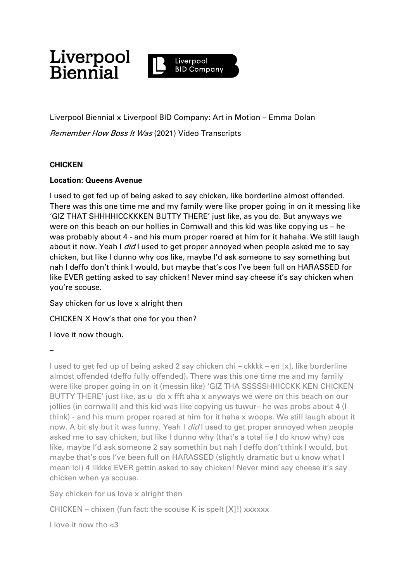

Liverpool Biennial x Liverpool BID Company: Art in Motion – Emma Dolan Remember How Boss It Was (2021) Video Transcripts

# **CHICKEN**

# **Location: Queens Avenue**

I used to get fed up of being asked to say chicken, like borderline almost offended. There was this one time me and my family were like proper going in on it messing like 'GIZ THAT SHHHHICCKKKEN BUTTY THERE' just like, as you do. But anyways we were on this beach on our hollies in Cornwall and this kid was like copying us – he was probably about 4 - and his mum proper roared at him for it hahaha. We still laugh about it now. Yeah I *did* I used to get proper annoyed when people asked me to say chicken, but like I dunno why cos like, maybe I'd ask someone to say something but nah I deffo don't think I would, but maybe that's cos I've been full on HARASSED for like EVER getting asked to say chicken! Never mind say cheese it's say chicken when you're scouse.

Say chicken for us love x alright then

CHICKEN X How's that one for you then?

I love it now though.

**–**

I used to get fed up of being asked 2 say chicken chi – ckkkk – en [x], like borderline almost offended (deffo fully offended). There was this one time me and my family were like proper going in on it (messin like) 'GIZ THA SSSSSHHICCKK KEN CHICKEN BUTTY THERE' just like, as u do x ffft aha x anyways we were on this beach on our jollies (in cornwall) and this kid was like copying us tuwur– he was probs about 4 (I think) - and his mum proper roared at him for it haha x woops. We still laugh about it now. A bit sly but it was funny. Yeah I did I used to get proper annoyed when people asked me to say chicken, but like I dunno why (that's a total lie I do know why) cos like, maybe I'd ask someone 2 say somethin but nah I deffo don't think I would, but maybe that's cos I've been full on HARASSED (slightly dramatic but u know what I mean lol) 4 likkke EVER gettin asked to say chicken! Never mind say cheese it's say chicken when ya scouse.

Say chicken for us love x alright then

CHICKEN – chixen (fun fact: the scouse K is spelt  $[X]$ !) xxxxxx

I love it now tho <3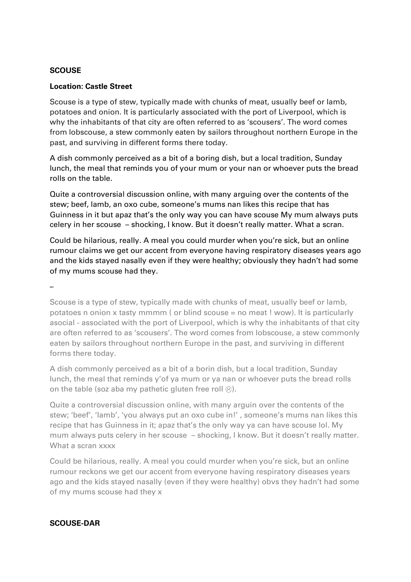# **SCOUSE**

# **Location: Castle Street**

Scouse is a type of stew, typically made with chunks of meat, usually beef or lamb, potatoes and onion. It is particularly associated with the port of Liverpool, which is why the inhabitants of that city are often referred to as 'scousers'. The word comes from lobscouse, a stew commonly eaten by sailors throughout northern Europe in the past, and surviving in different forms there today.

A dish commonly perceived as a bit of a boring dish, but a local tradition, Sunday lunch, the meal that reminds you of your mum or your nan or whoever puts the bread rolls on the table.

Quite a controversial discussion online, with many arguing over the contents of the stew; beef, lamb, an oxo cube, someone's mums nan likes this recipe that has Guinness in it but apaz that's the only way you can have scouse My mum always puts celery in her scouse – shocking, I know. But it doesn't really matter. What a scran.

Could be hilarious, really. A meal you could murder when you're sick, but an online rumour claims we get our accent from everyone having respiratory diseases years ago and the kids stayed nasally even if they were healthy; obviously they hadn't had some of my mums scouse had they.

–

Scouse is a type of stew, typically made with chunks of meat, usually beef or lamb, potatoes n onion x tasty mmmm ( or blind scouse = no meat ! wow). It is particularly asocial - associated with the port of Liverpool, which is why the inhabitants of that city are often referred to as 'scousers'. The word comes from lobscouse, a stew commonly eaten by sailors throughout northern Europe in the past, and surviving in different forms there today.

A dish commonly perceived as a bit of a borin dish, but a local tradition, Sunday lunch, the meal that reminds y'of ya mum or ya nan or whoever puts the bread rolls on the table (soz aba my pathetic gluten free roll  $\circledcirc$ ).

Quite a controversial discussion online, with many arguin over the contents of the stew; 'beef', 'lamb', 'you always put an oxo cube in!' , someone's mums nan likes this recipe that has Guinness in it; apaz that's the only way ya can have scouse lol. My mum always puts celery in her scouse – shocking, I know. But it doesn't really matter. What a scran xxxx

Could be hilarious, really. A meal you could murder when you're sick, but an online rumour reckons we get our accent from everyone having respiratory diseases years ago and the kids stayed nasally (even if they were healthy) obvs they hadn't had some of my mums scouse had they x

# **SCOUSE-DAR**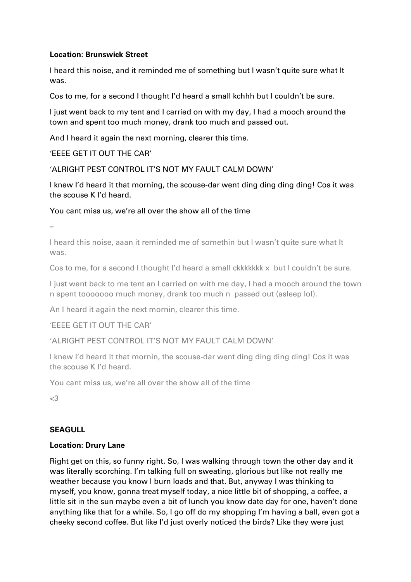# **Location: Brunswick Street**

I heard this noise, and it reminded me of something but I wasn't quite sure what It was.

Cos to me, for a second I thought I'd heard a small kchhh but I couldn't be sure.

I just went back to my tent and I carried on with my day, I had a mooch around the town and spent too much money, drank too much and passed out.

And I heard it again the next morning, clearer this time.

'EEEE GET IT OUT THE CAR'

'ALRIGHT PEST CONTROL IT'S NOT MY FAULT CALM DOWN'

I knew I'd heard it that morning, the scouse-dar went ding ding ding ding! Cos it was the scouse K I'd heard.

You cant miss us, we're all over the show all of the time

–

I heard this noise, aaan it reminded me of somethin but I wasn't quite sure what It was.

Cos to me, for a second I thought I'd heard a small ckkkkkk x but I couldn't be sure.

I just went back to me tent an I carried on with me day, I had a mooch around the town n spent tooooooo much money, drank too much n passed out (asleep lol).

An I heard it again the next mornin, clearer this time.

'EEEE GET IT OUT THE CAR'

'ALRIGHT PEST CONTROL IT'S NOT MY FAULT CALM DOWN'

I knew I'd heard it that mornin, the scouse-dar went ding ding ding ding! Cos it was the scouse K I'd heard.

You cant miss us, we're all over the show all of the time

<3

# **SEAGULL**

# **Location: Drury Lane**

Right get on this, so funny right. So, I was walking through town the other day and it was literally scorching. I'm talking full on sweating, glorious but like not really me weather because you know I burn loads and that. But, anyway I was thinking to myself, you know, gonna treat myself today, a nice little bit of shopping, a coffee, a little sit in the sun maybe even a bit of lunch you know date day for one, haven't done anything like that for a while. So, I go off do my shopping I'm having a ball, even got a cheeky second coffee. But like I'd just overly noticed the birds? Like they were just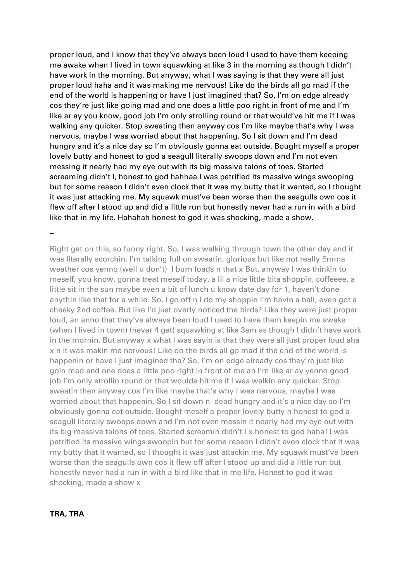proper loud, and I know that they've always been loud I used to have them keeping me awake when I lived in town squawking at like 3 in the morning as though I didn't have work in the morning. But anyway, what I was saying is that they were all just proper loud haha and it was making me nervous! Like do the birds all go mad if the end of the world is happening or have I just imagined that? So, I'm on edge already cos they're just like going mad and one does a little poo right in front of me and I'm like ar ay you know, good job I'm only strolling round or that would've hit me if I was walking any quicker. Stop sweating then anyway cos I'm like maybe that's why I was nervous, maybe I was worried about that happening. So I sit down and I'm dead hungry and it's a nice day so I'm obviously gonna eat outside. Bought myself a proper lovely butty and honest to god a seagull literally swoops down and I'm not even messing it nearly had my eye out with its big massive talons of toes. Started screaming didn't I, honest to god hahhaa I was petrified its massive wings swooping but for some reason I didn't even clock that it was my butty that it wanted, so I thought it was just attacking me. My squawk must've been worse than the seagulls own cos it flew off after I stood up and did a little run but honestly never had a run in with a bird like that in my life. Hahahah honest to god it was shocking, made a show.

**–**

Right get on this, so funny right. So, I was walking through town the other day and it was literally scorchin. I'm talking full on sweatin, glorious but like not really Emma weather cos yenno (well u don't) I burn loads n that x But, anyway I was thinkin to meself, you know, gonna treat meself today, a lil a nice little bita shoppin, coffeeee, a little sit in the sun maybe even a bit of lunch u know date day for 1, haven't done anythin like that for a while. So, I go off n I do my shoppin I'm havin a ball, even got a cheeky 2nd coffee. But like I'd just overly noticed the birds? Like they were just proper loud, an anno that they've always been loud I used to have them keepin me awake (when I lived in town) (never 4 get) squawking at like 3am as though I didn't have work in the mornin. But anyway x what I was sayin is that they were all just proper loud aha x n it was makin me nervous! Like do the birds all go mad if the end of the world is happenin or have I just imagined tha? So, I'm on edge already cos they're just like goin mad and one does a little poo right in front of me an I'm like ar ay yenno good job I'm only strollin round or that woulda hit me if I was walkin any quicker. Stop sweatin then anyway cos I'm like maybe that's why I was nervous, maybe I was worried about that happenin. So I sit down n dead hungry and it's a nice day so I'm obviously gonna eat outside. Bought meself a proper lovely butty n honest to god a seagull literally swoops down and I'm not even messin it nearly had my eye out with its big massive talons of toes. Started screamin didn't I x honest to god haha! I was petrified its massive wings swoopin but for some reason I didn't even clock that it was my butty that it wanted, so I thought it was just attackin me. My squawk must've been worse than the seagulls own cos it flew off after I stood up and did a little run but honestly never had a run in with a bird like that in me life. Honest to god it was shocking, made a show x

# **TRA, TRA**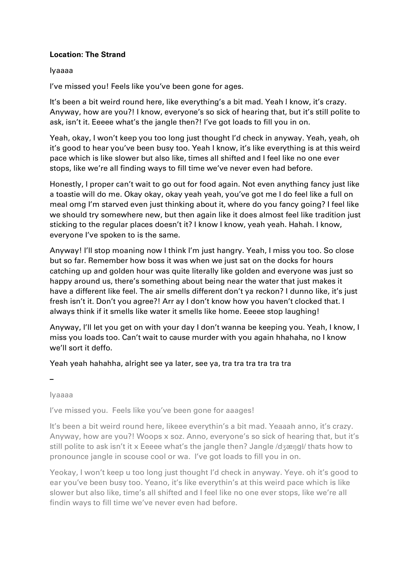# **Location: The Strand**

# Iyaaaa

I've missed you! Feels like you've been gone for ages.

It's been a bit weird round here, like everything's a bit mad. Yeah I know, it's crazy. Anyway, how are you?! I know, everyone's so sick of hearing that, but it's still polite to ask, isn't it. Eeeee what's the jangle then?! I've got loads to fill you in on.

Yeah, okay, I won't keep you too long just thought I'd check in anyway. Yeah, yeah, oh it's good to hear you've been busy too. Yeah I know, it's like everything is at this weird pace which is like slower but also like, times all shifted and I feel like no one ever stops, like we're all finding ways to fill time we've never even had before.

Honestly, I proper can't wait to go out for food again. Not even anything fancy just like a toastie will do me. Okay okay, okay yeah yeah, you've got me I do feel like a full on meal omg I'm starved even just thinking about it, where do you fancy going? I feel like we should try somewhere new, but then again like it does almost feel like tradition just sticking to the regular places doesn't it? I know I know, yeah yeah. Hahah. I know, everyone I've spoken to is the same.

Anyway! I'll stop moaning now I think I'm just hangry. Yeah, I miss you too. So close but so far. Remember how boss it was when we just sat on the docks for hours catching up and golden hour was quite literally like golden and everyone was just so happy around us, there's something about being near the water that just makes it have a different like feel. The air smells different don't ya reckon? I dunno like, it's just fresh isn't it. Don't you agree?! Arr ay I don't know how you haven't clocked that. I always think if it smells like water it smells like home. Eeeee stop laughing!

Anyway, I'll let you get on with your day I don't wanna be keeping you. Yeah, I know, I miss you loads too. Can't wait to cause murder with you again hhahaha, no I know we'll sort it deffo.

# Yeah yeah hahahha, alright see ya later, see ya, tra tra tra tra tra tra

**–**

Iyaaaa

I've missed you. Feels like you've been gone for aaages!

It's been a bit weird round here, likeee everythin's a bit mad. Yeaaah anno, it's crazy. Anyway, how are you?! Woops x soz. Anno, everyone's so sick of hearing that, but it's still polite to ask isn't it x Eeeee what's the jangle then? Jangle /dʒæŋgɫ/ thats how to pronounce jangle in scouse cool or wa. I've got loads to fill you in on.

Yeokay, I won't keep u too long just thought I'd check in anyway. Yeye. oh it's good to ear you've been busy too. Yeano, it's like everythin's at this weird pace which is like slower but also like, time's all shifted and I feel like no one ever stops, like we're all findin ways to fill time we've never even had before.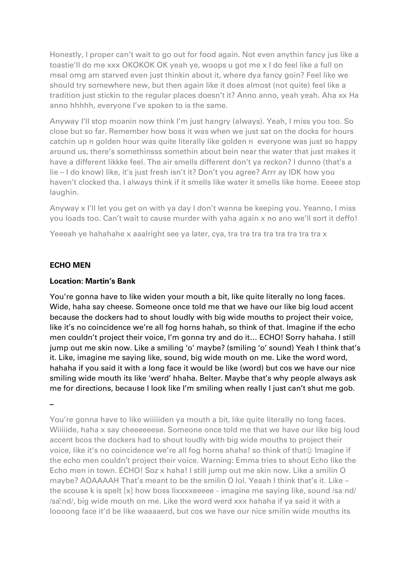Honestly, I proper can't wait to go out for food again. Not even anythin fancy jus like a toastie'll do me xxx OKOKOK OK yeah ye, woops u got me x I do feel like a full on meal omg am starved even just thinkin about it, where dya fancy goin? Feel like we should try somewhere new, but then again like it does almost (not quite) feel like a tradition just stickin to the regular places doesn't it? Anno anno, yeah yeah. Aha xx Ha anno hhhhh, everyone I've spoken to is the same.

Anyway I'll stop moanin now think I'm just hangry (always). Yeah, I miss you too. So close but so far. Remember how boss it was when we just sat on the docks for hours catchin up n golden hour was quite literally like golden n everyone was just so happy around us, there's somethinsss somethin about bein near the water that just makes it have a different likkke feel. The air smells different don't ya reckon? I dunno (that's a lie – I do know) like, it's just fresh isn't it? Don't you agree? Arrr ay IDK how you haven't clocked tha. I always think if it smells like water it smells like home. Eeeee stop laughin.

Anyway x I'll let you get on with ya day I don't wanna be keeping you. Yeanno, I miss you loads too. Can't wait to cause murder with yaha again x no ano we'll sort it deffo!

Yeeeah ye hahahahe x aaalright see ya later, cya, tra tra tra tra tra tra tra x

# **ECHO MEN**

#### **Location: Martin's Bank**

You're gonna have to like widen your mouth a bit, like quite literally no long faces. Wide, haha say cheese. Someone once told me that we have our like big loud accent because the dockers had to shout loudly with big wide mouths to project their voice, like it's no coincidence we're all fog horns hahah, so think of that. Imagine if the echo men couldn't project their voice, I'm gonna try and do it… ECHO! Sorry hahaha. I still jump out me skin now. Like a smiling 'o' maybe? (smiling 'o' sound) Yeah I think that's it. Like, imagine me saying like, sound, big wide mouth on me. Like the word word, hahaha if you said it with a long face it would be like (word) but cos we have our nice smiling wide mouth its like 'werd' hhaha. Belter. Maybe that's why people always ask me for directions, because I look like I'm smiling when really I just can't shut me gob.

**–**

You're gonna have to like wiiiiiden ya mouth a bit, like quite literally no long faces. Wiiiiide, haha x say cheeeeeese. Someone once told me that we have our like big loud accent bcos the dockers had to shout loudly with big wide mouths to project their voice, like it's no coincidence we're all fog horns ahaha! so think of that Imagine if the echo men couldn't project their voice. Warning: Emma tries to shout Echo like the Echo men in town. ECHO! Soz x haha! I still jump out me skin now. Like a smilin O maybe? AOAAAAH That's meant to be the smilin O lol. Yeaah I think that's it. Like – the scouse k is spelt [x] how boss lixxxxeeeee - imagine me saying like, sound /saːnd/ /sâ:nd/, big wide mouth on me. Like the word werd xxx hahaha if ya said it with a loooong face it'd be like waaaaerd, but cos we have our nice smilin wide mouths its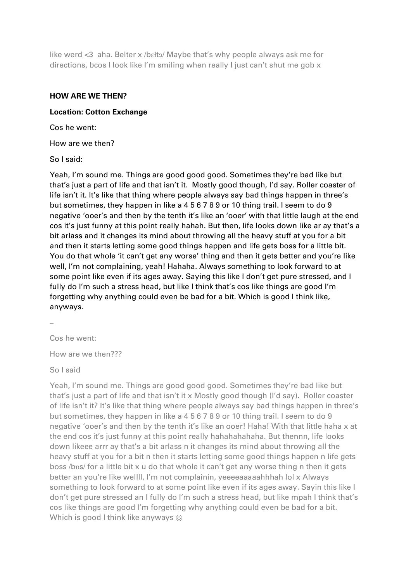like werd <3 aha. Belter x /bɛłtǝ/ Maybe that's why people always ask me for directions, bcos I look like I'm smiling when really I just can't shut me gob x

#### **HOW ARE WE THEN?**

#### **Location: Cotton Exchange**

Cos he went:

How are we then?

So I said:

Yeah, I'm sound me. Things are good good good. Sometimes they're bad like but that's just a part of life and that isn't it. Mostly good though, I'd say. Roller coaster of life isn't it. It's like that thing where people always say bad things happen in three's but sometimes, they happen in like a 4 5 6 7 8 9 or 10 thing trail. I seem to do 9 negative 'ooer's and then by the tenth it's like an 'ooer' with that little laugh at the end cos it's just funny at this point really hahah. But then, life looks down like ar ay that's a bit arlass and it changes its mind about throwing all the heavy stuff at you for a bit and then it starts letting some good things happen and life gets boss for a little bit. You do that whole 'it can't get any worse' thing and then it gets better and you're like well, I'm not complaining, yeah! Hahaha. Always something to look forward to at some point like even if its ages away. Saying this like I don't get pure stressed, and I fully do I'm such a stress head, but like I think that's cos like things are good I'm forgetting why anything could even be bad for a bit. Which is good I think like, anyways.

–

Cos he went:

How are we then???

So I said

Yeah, I'm sound me. Things are good good good. Sometimes they're bad like but that's just a part of life and that isn't it x Mostly good though (I'd say). Roller coaster of life isn't it? It's like that thing where people always say bad things happen in three's but sometimes, they happen in like a 4 5 6 7 8 9 or 10 thing trail. I seem to do 9 negative 'ooer's and then by the tenth it's like an ooer! Haha! With that little haha x at the end cos it's just funny at this point really hahahahahaha. But thennn, life looks down likeee arrr ay that's a bit arlass n it changes its mind about throwing all the heavy stuff at you for a bit n then it starts letting some good things happen n life gets boss /bos/ for a little bit x u do that whole it can't get any worse thing n then it gets better an you're like wellll, I'm not complainin, yeeeeaaaaahhhah lol x Always something to look forward to at some point like even if its ages away. Sayin this like I don't get pure stressed an I fully do I'm such a stress head, but like mpah I think that's cos like things are good I'm forgetting why anything could even be bad for a bit. Which is good I think like anyways  $\circledcirc$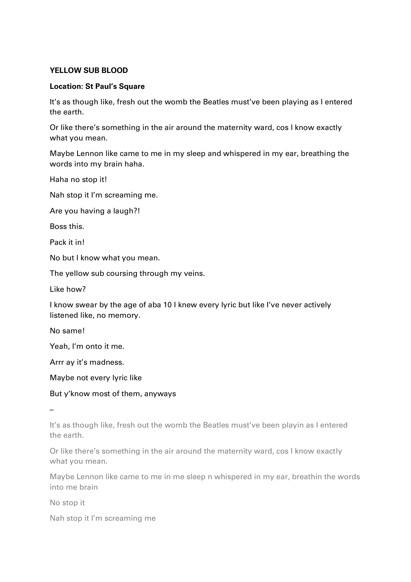# **YELLOW SUB BLOOD**

# **Location: St Paul's Square**

It's as though like, fresh out the womb the Beatles must've been playing as I entered the earth.

Or like there's something in the air around the maternity ward, cos I know exactly what you mean.

Maybe Lennon like came to me in my sleep and whispered in my ear, breathing the words into my brain haha.

Haha no stop it!

Nah stop it I'm screaming me.

Are you having a laugh?!

Boss this.

Pack it in!

No but I know what you mean.

The yellow sub coursing through my veins.

Like how?

I know swear by the age of aba 10 I knew every lyric but like I've never actively listened like, no memory.

No same!

Yeah, I'm onto it me.

Arrr ay it's madness.

Maybe not every lyric like

But y'know most of them, anyways

–

It's as though like, fresh out the womb the Beatles must've been playin as I entered the earth.

Or like there's something in the air around the maternity ward, cos I know exactly what you mean.

Maybe Lennon like came to me in me sleep n whispered in my ear, breathin the words into me brain

No stop it

Nah stop it I'm screaming me